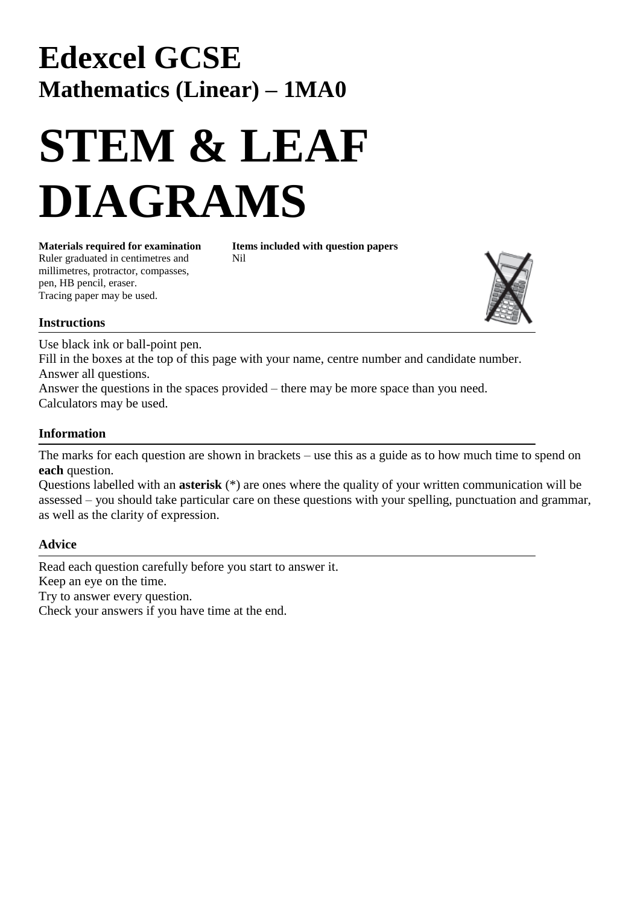# **Edexcel GCSE Mathematics (Linear) – 1MA0**

# **STEM & LEAF DIAGRAMS**

Ruler graduated in centimetres and Nil millimetres, protractor, compasses, pen, HB pencil, eraser. Tracing paper may be used.

**Materials required for examination Items included with question papers**



#### **Instructions**

Use black ink or ball-point pen.

Fill in the boxes at the top of this page with your name, centre number and candidate number. Answer all questions.

Answer the questions in the spaces provided – there may be more space than you need. Calculators may be used.

#### **Information**

The marks for each question are shown in brackets – use this as a guide as to how much time to spend on **each** question.

Questions labelled with an **asterisk** (\*) are ones where the quality of your written communication will be assessed – you should take particular care on these questions with your spelling, punctuation and grammar, as well as the clarity of expression.

#### **Advice**

Read each question carefully before you start to answer it. Keep an eye on the time. Try to answer every question. Check your answers if you have time at the end.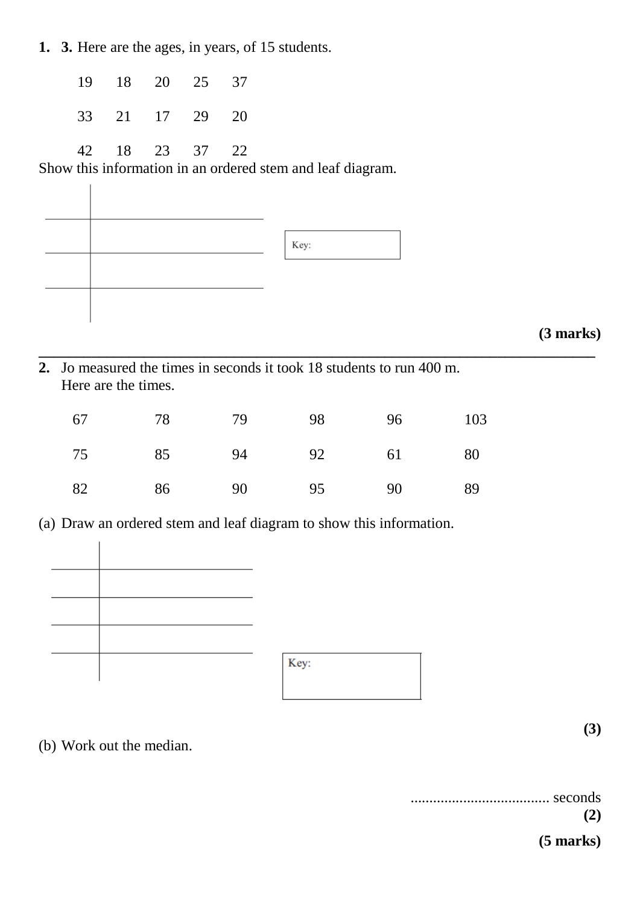**1. 3.** Here are the ages, in years, of 15 students.

- 19 18 20 25 37
- 33 21 17 29 20

42 18 23 37 22

Show this information in an ordered stem and leaf diagram.



## **(3 marks)**

**(3)**

**2.** Jo measured the times in seconds it took 18 students to run 400 m. Here are the times.

| 67 | - 78 | - 79 | 98 | 96 | 103 |
|----|------|------|----|----|-----|
| 75 | 85   | 94   | 92 | 61 | 80  |
| 82 | 86   | 90   | 95 | 90 | -89 |

**\_\_\_\_\_\_\_\_\_\_\_\_\_\_\_\_\_\_\_\_\_\_\_\_\_\_\_\_\_\_\_\_\_\_\_\_\_\_\_\_\_\_\_\_\_\_\_\_\_\_\_\_\_\_\_\_\_\_\_\_\_\_\_\_\_\_\_\_\_\_\_\_\_\_**

(a) Draw an ordered stem and leaf diagram to show this information.



### (b) Work out the median.

| seconds     |  |
|-------------|--|
| (2)         |  |
| $(5$ marks) |  |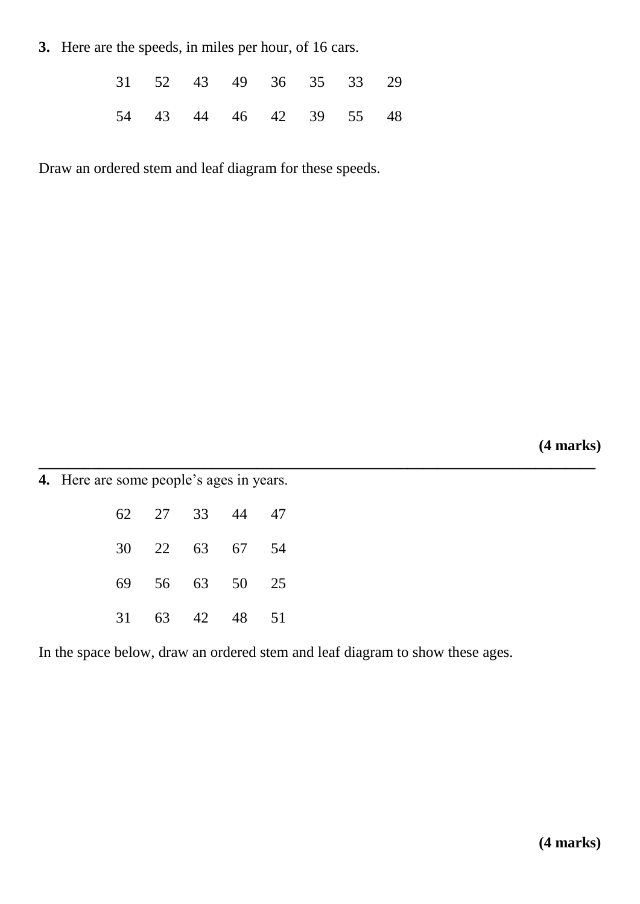**3.** Here are the speeds, in miles per hour, of 16 cars.

|  | 31 52 43 49 36 35 33 29 |  |  |
|--|-------------------------|--|--|
|  | 54 43 44 46 42 39 55 48 |  |  |

Draw an ordered stem and leaf diagram for these speeds.

**(4 marks)**

**4.** Here are some people's ages in years.

|  | 62 27 33 44 47 |  |
|--|----------------|--|
|  | 30 22 63 67 54 |  |
|  | 69 56 63 50 25 |  |
|  | 31 63 42 48 51 |  |

In the space below, draw an ordered stem and leaf diagram to show these ages.

**\_\_\_\_\_\_\_\_\_\_\_\_\_\_\_\_\_\_\_\_\_\_\_\_\_\_\_\_\_\_\_\_\_\_\_\_\_\_\_\_\_\_\_\_\_\_\_\_\_\_\_\_\_\_\_\_\_\_\_\_\_\_\_\_\_\_\_\_\_\_\_\_\_\_**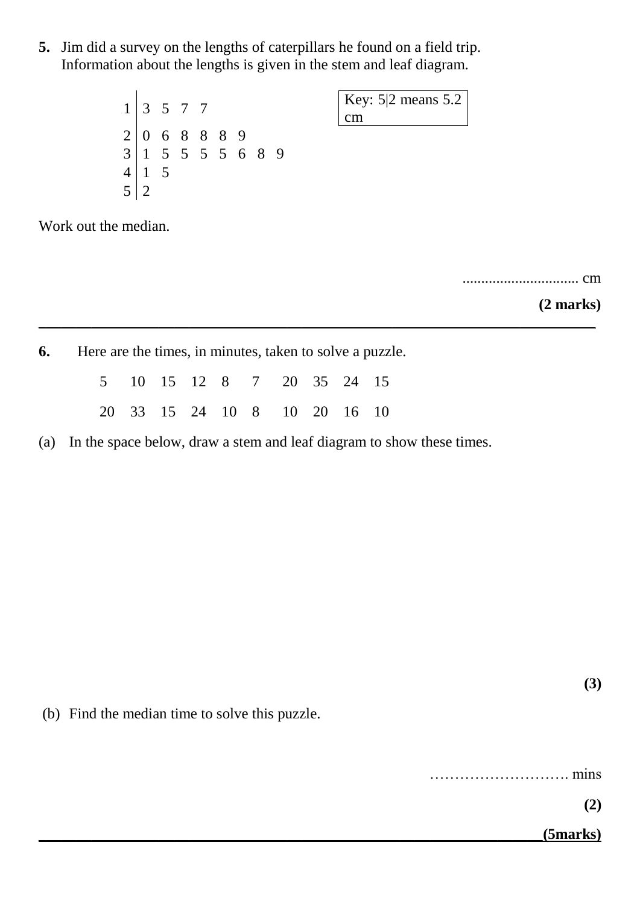**5.** Jim did a survey on the lengths of caterpillars he found on a field trip. Information about the lengths is given in the stem and leaf diagram.

> $1 \mid 3 \mid 5 \mid 7 \mid 7$  $2 | 0 6 8 8 8 9$  $3 \mid 1 \; 5 \; 5 \; 5 \; 5 \; 6 \; 8 \; 9$  $4 \mid 1 \quad 5$ 5 2

Key: 5|2 means 5.2 cm

Work out the median.

............................... cm

**(2 marks)**

**6.** Here are the times, in minutes, taken to solve a puzzle.

|  |  |  | 5 10 15 12 8 7 20 35 24 15   |  |  |
|--|--|--|------------------------------|--|--|
|  |  |  | 20 33 15 24 10 8 10 20 16 10 |  |  |

(a) In the space below, draw a stem and leaf diagram to show these times.

\_\_\_\_\_\_\_\_\_\_\_\_\_\_\_\_\_\_\_\_\_\_\_\_\_\_\_\_\_\_\_\_\_\_\_\_\_\_\_\_\_\_\_\_\_\_\_\_\_\_\_\_\_\_\_\_\_\_\_\_\_\_\_\_\_\_\_\_\_\_\_\_\_\_

(b) Find the median time to solve this puzzle.

………………………. mins

**(2)**

**(3)**

\_\_\_\_\_\_\_\_\_\_\_\_\_\_\_\_\_\_\_\_\_\_\_\_\_\_\_\_\_\_\_\_\_\_\_\_\_\_\_\_\_\_\_\_\_\_\_\_\_\_\_\_\_\_\_\_\_\_\_\_\_\_\_\_\_\_\_**(5marks)**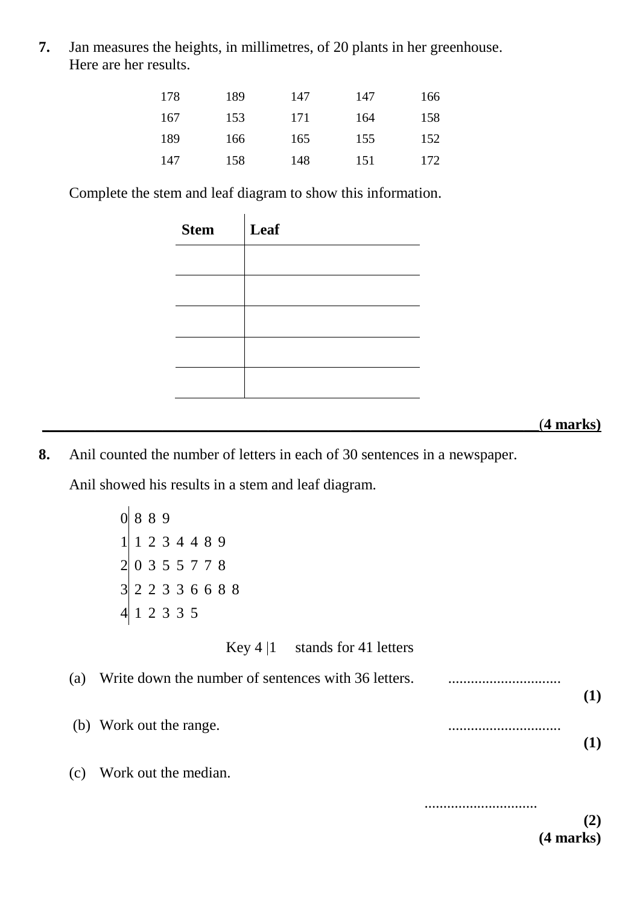**7.** Jan measures the heights, in millimetres, of 20 plants in her greenhouse. Here are her results.

| 178 | 189 | 147 | 147 | 166 |
|-----|-----|-----|-----|-----|
| 167 | 153 | 171 | 164 | 158 |
| 189 | 166 | 165 | 155 | 152 |
| 147 | 158 | 148 | 151 | 172 |

Complete the stem and leaf diagram to show this information.

| Leaf |
|------|
|      |
|      |
|      |
|      |
|      |
|      |

#### \_\_\_\_\_\_\_\_\_\_\_\_\_\_\_\_\_\_\_\_\_\_\_\_\_\_\_\_\_\_\_\_\_\_\_\_\_\_\_\_\_\_\_\_\_\_\_\_\_\_\_\_\_\_\_\_\_\_\_\_\_\_\_\_\_\_(**4 marks)**

**8.** Anil counted the number of letters in each of 30 sentences in a newspaper.

Anil showed his results in a stem and leaf diagram.

0 8 8 9  $1 \ 1 \ 2 \ 3 \ 4 \ 4 \ 8 \ 9$ 2 0 3 5 5 7 7 8 3 2 2 3 3 6 6 8 8 4 1 2 3 3 5

| Key $4 1$ | stands for 41 letters |  |
|-----------|-----------------------|--|
|-----------|-----------------------|--|

| (a) | Write down the number of sentences with 36 letters. |  |
|-----|-----------------------------------------------------|--|
|     | (b) Work out the range.                             |  |
| (c) | Work out the median.                                |  |
|     |                                                     |  |

**(4 marks)**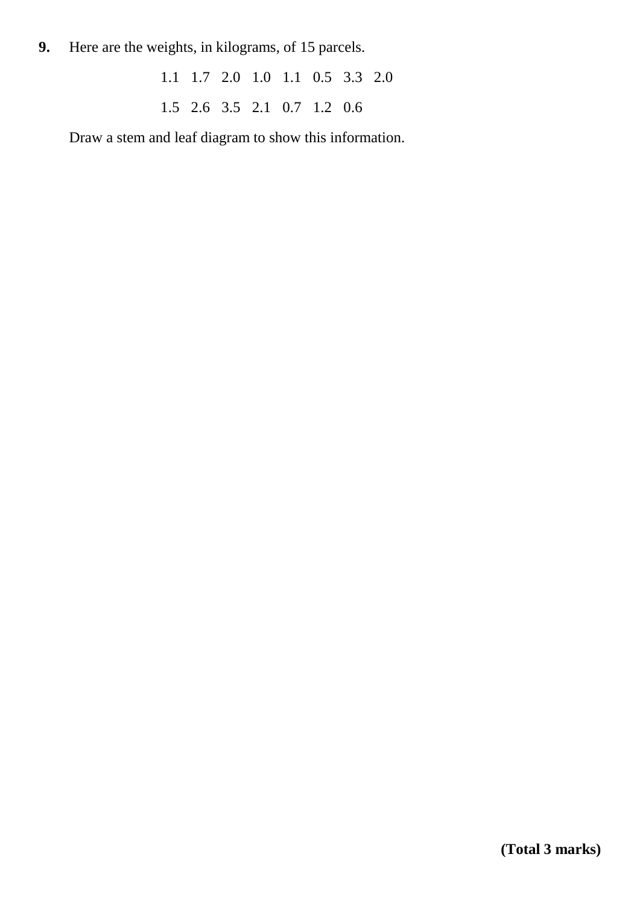**9.** Here are the weights, in kilograms, of 15 parcels.

1.1 1.7 2.0 1.0 1.1 0.5 3.3 2.0 1.5 2.6 3.5 2.1 0.7 1.2 0.6

Draw a stem and leaf diagram to show this information.

**(Total 3 marks)**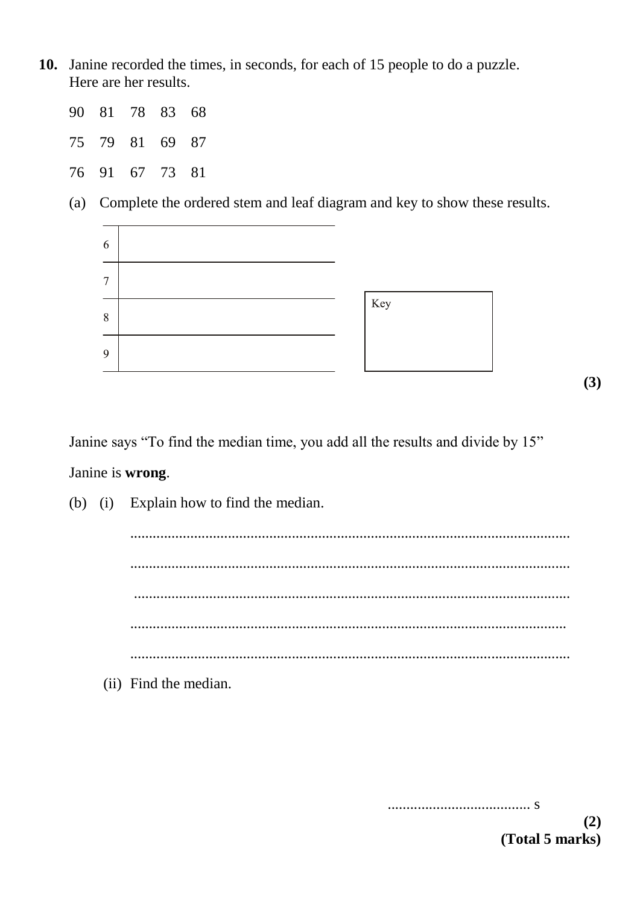**10.** Janine recorded the times, in seconds, for each of 15 people to do a puzzle. Here are her results.

| 90 81 78 83 68 |  |  |
|----------------|--|--|
| 75 79 81 69 87 |  |  |
| 76 91 67 73 81 |  |  |

(a) Complete the ordered stem and leaf diagram and key to show these results.



**(3)**

Janine says "To find the median time, you add all the results and divide by 15" Janine is **wrong**.

|  | (b) (i) Explain how to find the median. |
|--|-----------------------------------------|
|  | $\cdot \cdot$                           |
|  |                                         |
|  |                                         |
|  |                                         |
|  |                                         |
|  | (ii) Find the median.                   |

...................................... s

**(2) (Total 5 marks)**